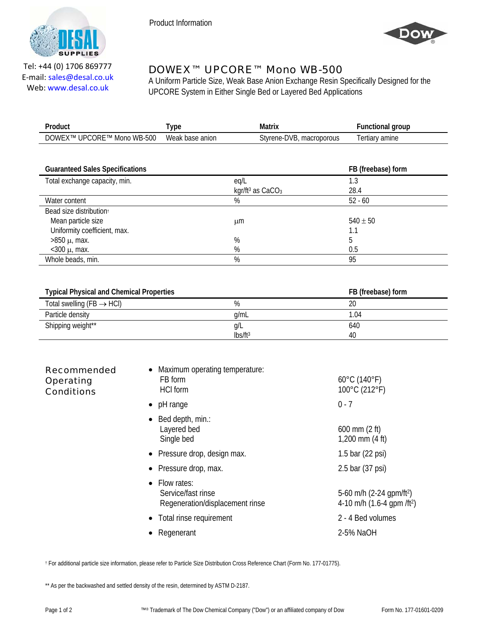



Tel: +44 (0) 1706 869777 E‐mail: sales@desal.co.uk Web: www.desal.co.uk

## DOWEX™ UPCORE™ Mono WB-500

A Uniform Particle Size, Weak Base Anion Exchange Resin Specifically Designed for the UPCORE System in Either Single Bed or Layered Bed Applications

| Product                    | 'ype            | Matrix                   | <b>Functional group</b> |
|----------------------------|-----------------|--------------------------|-------------------------|
| DOWEX™ UPCORE™ Mono WB-500 | Weak base anion | Styrene-DVB, macroporous | Tertiary amine          |
|                            |                 |                          |                         |

| <b>Guaranteed Sales Specifications</b> |                                          | FB (freebase) form |
|----------------------------------------|------------------------------------------|--------------------|
| Total exchange capacity, min.          | eg/L                                     | 1.3                |
|                                        | kgr/ft <sup>3</sup> as CaCO <sub>3</sub> | 28.4               |
| Water content                          | %                                        | $52 - 60$          |
| Bead size distribution <sup>t</sup>    |                                          |                    |
| Mean particle size                     | μm                                       | $540 \pm 50$       |
| Uniformity coefficient, max.           |                                          |                    |
| $>850 \mu$ , max.                      | %                                        | b                  |
| $<$ 300 $\mu$ , max.                   | %                                        | 0.5                |
| Whole beads, min.                      | %                                        | 95                 |

| <b>Typical Physical and Chemical Properties</b> |                     | FB (freebase) form |
|-------------------------------------------------|---------------------|--------------------|
| Total swelling (FB $\rightarrow$ HCI)           | %                   | 20                 |
| Particle density                                | a/mL                | 1.04               |
| Shipping weight**                               | g/L                 | 640                |
|                                                 | Ibs/ft <sup>3</sup> | 40                 |

| <b>Recommended</b><br><b>Operating</b><br><b>Conditions</b> | Maximum operating temperature:<br>FB form<br><b>HCI</b> form         | $60^{\circ}$ C (140 $^{\circ}$ F)<br>100°C (212°F)                                 |
|-------------------------------------------------------------|----------------------------------------------------------------------|------------------------------------------------------------------------------------|
|                                                             | pH range<br>$\bullet$                                                | $0 - 7$                                                                            |
|                                                             | Bed depth, min.:<br>Layered bed<br>Single bed                        | $600 \, \text{mm}$ (2 ft)<br>$1,200$ mm $(4 \text{ ft})$                           |
|                                                             | • Pressure drop, design max.                                         | 1.5 bar $(22 \text{ psi})$                                                         |
|                                                             | Pressure drop, max.                                                  | 2.5 bar (37 psi)                                                                   |
|                                                             | Flow rates:<br>Service/fast rinse<br>Regeneration/displacement rinse | 5-60 m/h $(2-24$ gpm/ft <sup>2</sup> )<br>4-10 m/h $(1.6-4$ qpm /ft <sup>2</sup> ) |
|                                                             | Total rinse requirement                                              | 2 - 4 Bed volumes                                                                  |
|                                                             | Regenerant                                                           | 2-5% NaOH                                                                          |

† For additional particle size information, please refer to Particle Size Distribution Cross Reference Chart (Form No. 177-01775).

\*\* As per the backwashed and settled density of the resin, determined by ASTM D-2187.